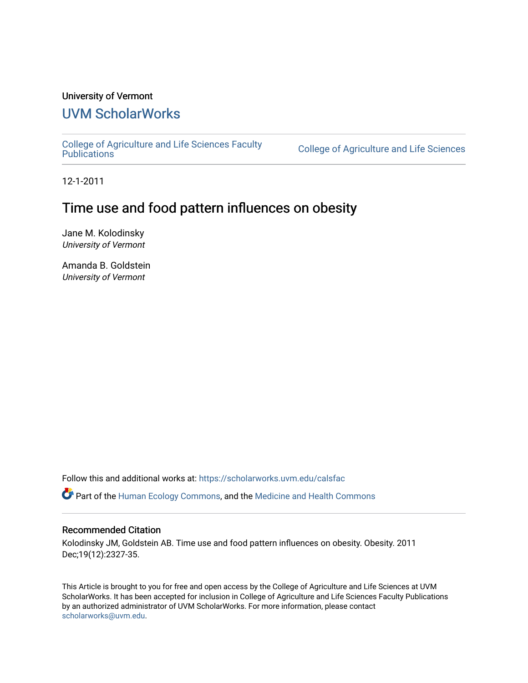### University of Vermont

## [UVM ScholarWorks](https://scholarworks.uvm.edu/)

[College of Agriculture and Life Sciences Faculty](https://scholarworks.uvm.edu/calsfac) 

College of Agriculture and Life Sciences

12-1-2011

### Time use and food pattern influences on obesity

Jane M. Kolodinsky University of Vermont

Amanda B. Goldstein University of Vermont

Follow this and additional works at: [https://scholarworks.uvm.edu/calsfac](https://scholarworks.uvm.edu/calsfac?utm_source=scholarworks.uvm.edu%2Fcalsfac%2F37&utm_medium=PDF&utm_campaign=PDFCoverPages)

Part of the [Human Ecology Commons,](http://network.bepress.com/hgg/discipline/1335?utm_source=scholarworks.uvm.edu%2Fcalsfac%2F37&utm_medium=PDF&utm_campaign=PDFCoverPages) and the [Medicine and Health Commons](http://network.bepress.com/hgg/discipline/422?utm_source=scholarworks.uvm.edu%2Fcalsfac%2F37&utm_medium=PDF&utm_campaign=PDFCoverPages) 

#### Recommended Citation

Kolodinsky JM, Goldstein AB. Time use and food pattern influences on obesity. Obesity. 2011 Dec;19(12):2327-35.

This Article is brought to you for free and open access by the College of Agriculture and Life Sciences at UVM ScholarWorks. It has been accepted for inclusion in College of Agriculture and Life Sciences Faculty Publications by an authorized administrator of UVM ScholarWorks. For more information, please contact [scholarworks@uvm.edu](mailto:scholarworks@uvm.edu).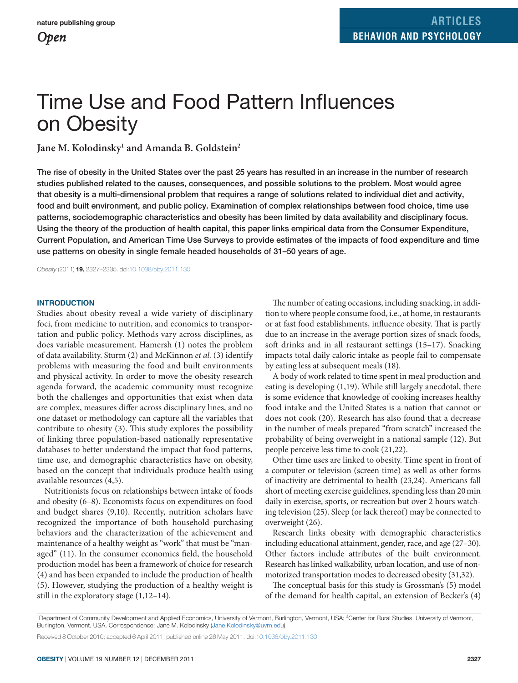# Time Use and Food Pattern Influences on Obesity

Jane M. Kolodinsky<sup>1</sup> and Amanda B. Goldstein<sup>2</sup>

The rise of obesity in the United States over the past 25 years has resulted in an increase in the number of research studies published related to the causes, consequences, and possible solutions to the problem. Most would agree that obesity is a multi-dimensional problem that requires a range of solutions related to individual diet and activity, food and built environment, and public policy. Examination of complex relationships between food choice, time use patterns, sociodemographic characteristics and obesity has been limited by data availability and disciplinary focus. Using the theory of the production of health capital, this paper links empirical data from the Consumer Expenditure, Current Population, and American Time Use Surveys to provide estimates of the impacts of food expenditure and time use patterns on obesity in single female headed households of 31–50 years of age.

*Obesity* (2011) **19,** 2327–2335. doi[:10.1038/oby.2011.130](http://www.nature.com/doifinder/10.1038/oby.2011.130)

#### **Introduction**

Studies about obesity reveal a wide variety of disciplinary foci, from medicine to nutrition, and economics to transportation and public policy. Methods vary across disciplines, as does variable measurement. Hamersh (1) notes the problem of data availability. Sturm (2) and McKinnon *et al.* (3) identify problems with measuring the food and built environments and physical activity. In order to move the obesity research agenda forward, the academic community must recognize both the challenges and opportunities that exist when data are complex, measures differ across disciplinary lines, and no one dataset or methodology can capture all the variables that contribute to obesity (3). This study explores the possibility of linking three population-based nationally representative databases to better understand the impact that food patterns, time use, and demographic characteristics have on obesity, based on the concept that individuals produce health using available resources (4,5).

Nutritionists focus on relationships between intake of foods and obesity (6–8). Economists focus on expenditures on food and budget shares (9,10). Recently, nutrition scholars have recognized the importance of both household purchasing behaviors and the characterization of the achievement and maintenance of a healthy weight as "work" that must be "managed" (11). In the consumer economics field, the household production model has been a framework of choice for research (4) and has been expanded to include the production of health (5). However, studying the production of a healthy weight is still in the exploratory stage (1,12–14).

The number of eating occasions, including snacking, in addition to where people consume food, i.e., at home, in restaurants or at fast food establishments, influence obesity. That is partly due to an increase in the average portion sizes of snack foods, soft drinks and in all restaurant settings (15–17). Snacking impacts total daily caloric intake as people fail to compensate by eating less at subsequent meals (18).

A body of work related to time spent in meal production and eating is developing (1,19). While still largely anecdotal, there is some evidence that knowledge of cooking increases healthy food intake and the United States is a nation that cannot or does not cook (20). Research has also found that a decrease in the number of meals prepared "from scratch" increased the probability of being overweight in a national sample (12). But people perceive less time to cook (21,22).

Other time uses are linked to obesity. Time spent in front of a computer or television (screen time) as well as other forms of inactivity are detrimental to health (23,24). Americans fall short of meeting exercise guidelines, spending less than 20min daily in exercise, sports, or recreation but over 2 hours watching television (25). Sleep (or lack thereof) may be connected to overweight (26).

Research links obesity with demographic characteristics including educational attainment, gender, race, and age (27–30). Other factors include attributes of the built environment. Research has linked walkability, urban location, and use of nonmotorized transportation modes to decreased obesity (31,32).

The conceptual basis for this study is Grossman's (5) model of the demand for health capital, an extension of Becker's (4)

Received 8 October 2010; accepted 6 April 2011; published online 26 May 2011. [doi:10.1038/oby.2011.130](http://www.nature.com/doifinder/doi:10.1038/oby.2011.130)

<sup>&</sup>lt;sup>1</sup>Department of Community Development and Applied Economics, University of Vermont, Burlington, Vermont, USA; <sup>2</sup>Center for Rural Studies, University of Vermont, Burlington, Vermont, USA. Correspondence: Jane M. Kolodinsky [\(Jane.Kolodinsky@uvm.edu\)](mailto:Jane.Kolodinsky@uvm.edu)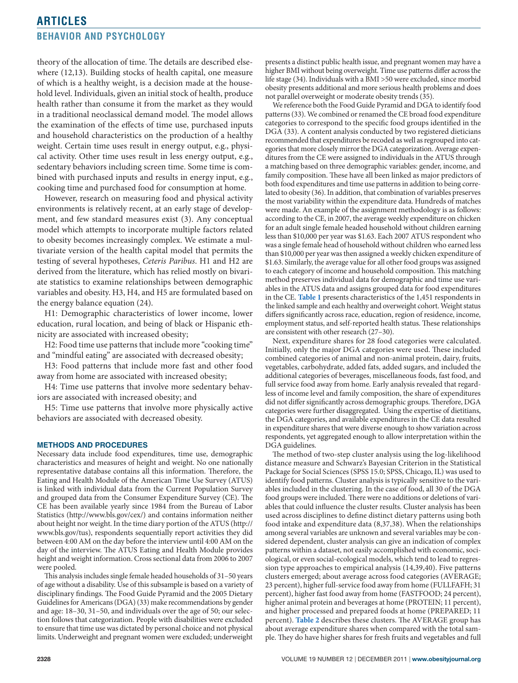theory of the allocation of time. The details are described elsewhere (12,13). Building stocks of health capital, one measure of which is a healthy weight, is a decision made at the household level. Individuals, given an initial stock of health, produce health rather than consume it from the market as they would in a traditional neoclassical demand model. The model allows the examination of the effects of time use, purchased inputs and household characteristics on the production of a healthy weight. Certain time uses result in energy output, e.g., physical activity. Other time uses result in less energy output, e.g., sedentary behaviors including screen time. Some time is combined with purchased inputs and results in energy input, e.g., cooking time and purchased food for consumption at home.

However, research on measuring food and physical activity environments is relatively recent, at an early stage of development, and few standard measures exist (3). Any conceptual model which attempts to incorporate multiple factors related to obesity becomes increasingly complex. We estimate a multivariate version of the health capital model that permits the testing of several hypotheses, *Ceteris Paribus*. H1 and H2 are derived from the literature, which has relied mostly on bivariate statistics to examine relationships between demographic variables and obesity. H3, H4, and H5 are formulated based on the energy balance equation (24).

H1: Demographic characteristics of lower income, lower education, rural location, and being of black or Hispanic ethnicity are associated with increased obesity;

H2: Food time use patterns that include more "cooking time" and "mindful eating" are associated with decreased obesity;

H3: Food patterns that include more fast and other food away from home are associated with increased obesity;

H4: Time use patterns that involve more sedentary behaviors are associated with increased obesity; and

H5: Time use patterns that involve more physically active behaviors are associated with decreased obesity.

#### **Methods and Procedures**

Necessary data include food expenditures, time use, demographic characteristics and measures of height and weight. No one nationally representative database contains all this information. Therefore, the Eating and Health Module of the American Time Use Survey (ATUS) is linked with individual data from the Current Population Survey and grouped data from the Consumer Expenditure Survey (CE). The CE has been available yearly since 1984 from the Bureau of Labor Statistics [\(http://www.bls.gov/cex/\)](http://www.bls.gov/cex/)) and contains information neither about height nor weight. In the time diary portion of the ATUS ([http://](http://www.bls.gov/tus),) [www.bls.gov/tus\),](http://www.bls.gov/tus),) respondents sequentially report activities they did between 4:00 AM on the day before the interview until 4:00 AM on the day of the interview. The ATUS Eating and Health Module provides height and weight information. Cross sectional data from 2006 to 2007 were pooled.

This analysis includes single female headed households of 31–50 years of age without a disability. Use of this subsample is based on a variety of disciplinary findings. The Food Guide Pyramid and the 2005 Dietary Guidelines for Americans (DGA) (33) make recommendations by gender and age: 18–30, 31–50, and individuals over the age of 50; our selection follows that categorization. People with disabilities were excluded to ensure that time use was dictated by personal choice and not physical limits. Underweight and pregnant women were excluded; underweight

presents a distinct public health issue, and pregnant women may have a higher BMI without being overweight. Time use patterns differ across the life stage (34). Individuals with a BMI >50 were excluded, since morbid obesity presents additional and more serious health problems and does not parallel overweight or moderate obesity trends (35).

We reference both the Food Guide Pyramid and DGA to identify food patterns (33). We combined or renamed the CE broad food expenditure categories to correspond to the specific food groups identified in the DGA (33). A content analysis conducted by two registered dieticians recommended that expenditures be recoded as well as regrouped into categories that more closely mirror the DGA categorization. Average expenditures from the CE were assigned to individuals in the ATUS through a matching based on three demographic variables: gender, income, and family composition. These have all been linked as major predictors of both food expenditures and time use patterns in addition to being correlated to obesity (36). In addition, that combination of variables preserves the most variability within the expenditure data. Hundreds of matches were made. An example of the assignment methodology is as follows: according to the CE, in 2007, the average weekly expenditure on chicken for an adult single female headed household without children earning less than \$10,000 per year was \$1.63. Each 2007 ATUS respondent who was a single female head of household without children who earned less than \$10,000 per year was then assigned a weekly chicken expenditure of \$1.63. Similarly, the average value for all other food groups was assigned to each category of income and household composition. This matching method preserves individual data for demographic and time use variables in the ATUS data and assigns grouped data for food expenditures in the CE. **[Table](#page-3-0) 1** presents characteristics of the 1,451 respondents in the linked sample and each healthy and overweight cohort. Weight status differs significantly across race, education, region of residence, income, employment status, and self-reported health status. These relationships are consistent with other research (27–30).

Next, expenditure shares for 28 food categories were calculated. Initially, only the major DGA categories were used. These included combined categories of animal and non-animal protein, dairy, fruits, vegetables, carbohydrate, added fats, added sugars, and included the additional categories of beverages, miscellaneous foods, fast food, and full service food away from home. Early analysis revealed that regardless of income level and family composition, the share of expenditures did not differ significantly across demographic groups. Therefore, DGA categories were further disaggregated. Using the expertise of dietitians, the DGA categories, and available expenditures in the CE data resulted in expenditure shares that were diverse enough to show variation across respondents, yet aggregated enough to allow interpretation within the DGA guidelines.

The method of two-step cluster analysis using the log-likelihood distance measure and Schwarz's Bayesian Criterion in the Statistical Package for Social Sciences (SPSS 15.0; SPSS, Chicago, IL) was used to identify food patterns. Cluster analysis is typically sensitive to the variables included in the clustering. In the case of food, all 30 of the DGA food groups were included. There were no additions or deletions of variables that could influence the cluster results. Cluster analysis has been used across disciplines to define distinct dietary patterns using both food intake and expenditure data (8,37,38). When the relationships among several variables are unknown and several variables may be considered dependent, cluster analysis can give an indication of complex patterns within a dataset, not easily accomplished with economic, sociological, or even social-ecological models, which tend to lead to regression type approaches to empirical analysis (14,39,40). Five patterns clusters emerged; about average across food categories (AVERAGE; 23 percent), higher full-service food away from home (FULLFAFH; 31 percent), higher fast food away from home (FASTFOOD; 24 percent), higher animal protein and beverages at home (PROTEIN; 11 percent), and higher processed and prepared foods at home (PREPARED; 11 percent). **[Table](#page-4-0) 2** describes these clusters. The AVERAGE group has about average expenditure shares when compared with the total sample. They do have higher shares for fresh fruits and vegetables and full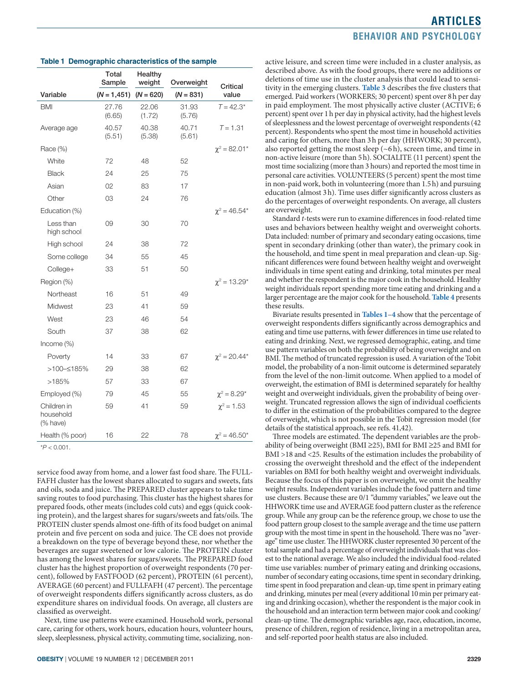<span id="page-3-0"></span>

|  | Table 1 Demographic characteristics of the sample |  |
|--|---------------------------------------------------|--|
|  |                                                   |  |

|                                      | Total<br>Sample | Healthy<br>weight | Overweight      | Critical             |
|--------------------------------------|-----------------|-------------------|-----------------|----------------------|
| Variable                             | $(N = 1, 451)$  | $(N = 620)$       | $(N = 831)$     | value                |
| <b>BMI</b>                           | 27.76<br>(6.65) | 22.06<br>(1.72)   | 31.93<br>(5.76) | $T = 42.3*$          |
| Average age                          | 40.57<br>(5.51) | 40.38<br>(5.38)   | 40.71<br>(5.61) | $T = 1.31$           |
| Race (%)                             |                 |                   |                 | $\chi^2 = 82.01^*$   |
| White                                | 72              | 48                | 52              |                      |
| <b>Black</b>                         | 24              | 25                | 75              |                      |
| Asian                                | 02              | 83                | 17              |                      |
| Other                                | 03              | 24                | 76              |                      |
| Education (%)                        |                 |                   |                 | $\chi^2 = 46.54^*$   |
| Less than<br>high school             | 09              | 30                | 70              |                      |
| High school                          | 24              | 38                | 72              |                      |
| Some college                         | 34              | 55                | 45              |                      |
| College+                             | 33              | 51                | 50              |                      |
| Region (%)                           |                 |                   |                 | $\chi^2 = 13.29^*$   |
| Northeast                            | 16              | 51                | 49              |                      |
| Midwest                              | 23              | 41                | 59              |                      |
| West                                 | 23              | 46                | 54              |                      |
| South                                | 37              | 38                | 62              |                      |
| Income $(\%)$                        |                 |                   |                 |                      |
| Poverty                              | 14              | 33                | 67              | $\gamma^2 = 20.44^*$ |
| >100-≤185%                           | 29              | 38                | 62              |                      |
| >185%                                | 57              | 33                | 67              |                      |
| Employed (%)                         | 79              | 45                | 55              | $\chi^2 = 8.29^*$    |
| Children in<br>household<br>(% have) | 59              | 41                | 59              | $\chi^2 = 1.53$      |
| Health (% poor)                      | 16              | 22                | 78              | $\chi^2 = 46.50^*$   |

\**P* < 0.001.

service food away from home, and a lower fast food share. The FULL-FAFH cluster has the lowest shares allocated to sugars and sweets, fats and oils, soda and juice. The PREPARED cluster appears to take time saving routes to food purchasing. This cluster has the highest shares for prepared foods, other meats (includes cold cuts) and eggs (quick cooking protein), and the largest shares for sugars/sweets and fats/oils. The PROTEIN cluster spends almost one-fifth of its food budget on animal protein and five percent on soda and juice. The CE does not provide a breakdown on the type of beverage beyond these, nor whether the beverages are sugar sweetened or low calorie. The PROTEIN cluster has among the lowest shares for sugars/sweets. The PREPARED food cluster has the highest proportion of overweight respondents (70 percent), followed by FASTFOOD (62 percent), PROTEIN (61 percent), AVERAGE (60 percent) and FULLFAFH (47 percent). The percentage of overweight respondents differs significantly across clusters, as do expenditure shares on individual foods. On average, all clusters are classified as overweight.

Next, time use patterns were examined. Household work, personal care, caring for others, work hours, education hours, volunteer hours, sleep, sleeplessness, physical activity, commuting time, socializing, non-

### **articles Behavior and Psychology**

active leisure, and screen time were included in a cluster analysis, as described above. As with the food groups, there were no additions or deletions of time use in the cluster analysis that could lead to sensitivity in the emerging clusters. **[Table](#page-5-0) 3** describes the five clusters that emerged. Paid workers (WORKERS; 30 percent) spent over 8h per day in paid employment. The most physically active cluster (ACTIVE; 6 percent) spent over 1h per day in physical activity, had the highest levels of sleeplessness and the lowest percentage of overweight respondents (42 percent). Respondents who spent the most time in household activities and caring for others, more than 3h per day (HHWORK; 30 percent), also reported getting the most sleep (~6h), screen time, and time in non-active leisure (more than 5h). SOCIALITE (11 percent) spent the most time socializing (more than 3 hours) and reported the most time in personal care activities. VOLUNTEERS (5 percent) spent the most time in non-paid work, both in volunteering (more than 1.5h) and pursuing education (almost 3h). Time uses differ significantly across clusters as do the percentages of overweight respondents. On average, all clusters are overweight.

Standard *t*-tests were run to examine differences in food-related time uses and behaviors between healthy weight and overweight cohorts. Data included: number of primary and secondary eating occasions, time spent in secondary drinking (other than water), the primary cook in the household, and time spent in meal preparation and clean-up. Significant differences were found between healthy weight and overweight individuals in time spent eating and drinking, total minutes per meal and whether the respondent is the major cook in the household. Healthy weight individuals report spending more time eating and drinking and a larger percentage are the major cook for the household. **[Table](#page-5-1) 4** presents these results.

Bivariate results presented in **[Tables 1](#page-3-0)**–**[4](#page-5-1)** show that the percentage of overweight respondents differs significantly across demographics and eating and time use patterns, with fewer differences in time use related to eating and drinking. Next, we regressed demographic, eating, and time use pattern variables on both the probability of being overweight and on BMI. The method of truncated regression is used. A variation of the Tobit model, the probability of a non-limit outcome is determined separately from the level of the non-limit outcome. When applied to a model of overweight, the estimation of BMI is determined separately for healthy weight and overweight individuals, given the probability of being overweight. Truncated regression allows the sign of individual coefficients to differ in the estimation of the probabilities compared to the degree of overweight, which is not possible in the Tobit regression model (for details of the statistical approach, see refs. 41,42).

Three models are estimated. The dependent variables are the probability of being overweight (BMI ≥25), BMI for BMI ≥25 and BMI for BMI >18 and <25. Results of the estimation includes the probability of crossing the overweight threshold and the effect of the independent variables on BMI for both healthy weight and overweight individuals. Because the focus of this paper is on overweight, we omit the healthy weight results. Independent variables include the food pattern and time use clusters. Because these are 0/1 "dummy variables," we leave out the HHWORK time use and AVERAGE food pattern cluster as the reference group. While any group can be the reference group, we chose to use the food pattern group closest to the sample average and the time use pattern group with the most time in spent in the household. There was no "average" time use cluster. The HHWORK cluster represented 30 percent of the total sample and had a percentage of overweight individuals that was closest to the national average. We also included the individual food-related time use variables: number of primary eating and drinking occasions, number of secondary eating occasions, time spent in secondary drinking, time spent in food preparation and clean-up, time spent in primary eating and drinking, minutes per meal (every additional 10min per primary eating and drinking occasion), whether the respondent is the major cook in the household and an interaction term between major cook and cooking/ clean-up time. The demographic variables age, race, education, income, presence of children, region of residence, living in a metropolitan area, and self-reported poor health status are also included.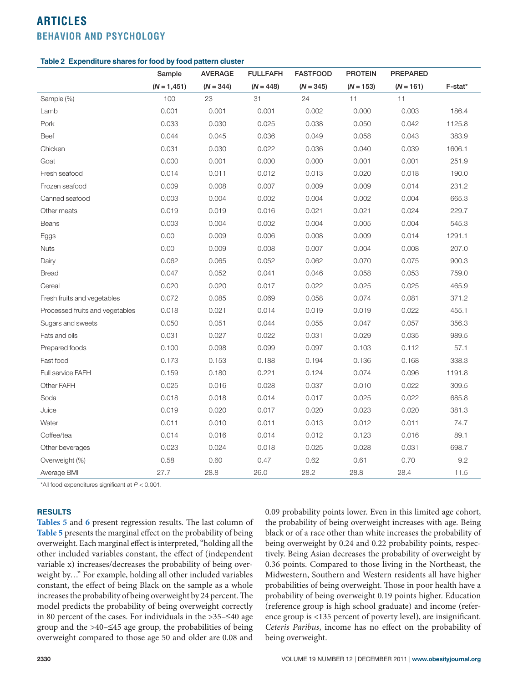#### <span id="page-4-0"></span>**Table 2 Expenditure shares for food by food pattern cluster**

|                                 | Sample         | <b>AVERAGE</b> | <b>FULLFAFH</b> | <b>FASTFOOD</b> | <b>PROTEIN</b> | <b>PREPARED</b> |         |
|---------------------------------|----------------|----------------|-----------------|-----------------|----------------|-----------------|---------|
|                                 | $(N = 1, 451)$ | $(N = 344)$    | $(N = 448)$     | $(N = 345)$     | $(N = 153)$    | $(N = 161)$     | F-stat* |
| Sample (%)                      | 100            | 23             | 31              | 24              | 11             | 11              |         |
| Lamb                            | 0.001          | 0.001          | 0.001           | 0.002           | 0.000          | 0.003           | 186.4   |
| Pork                            | 0.033          | 0.030          | 0.025           | 0.038           | 0.050          | 0.042           | 1125.8  |
| Beef                            | 0.044          | 0.045          | 0.036           | 0.049           | 0.058          | 0.043           | 383.9   |
| Chicken                         | 0.031          | 0.030          | 0.022           | 0.036           | 0.040          | 0.039           | 1606.1  |
| Goat                            | 0.000          | 0.001          | 0.000           | 0.000           | 0.001          | 0.001           | 251.9   |
| Fresh seafood                   | 0.014          | 0.011          | 0.012           | 0.013           | 0.020          | 0.018           | 190.0   |
| Frozen seafood                  | 0.009          | 0.008          | 0.007           | 0.009           | 0.009          | 0.014           | 231.2   |
| Canned seafood                  | 0.003          | 0.004          | 0.002           | 0.004           | 0.002          | 0.004           | 665.3   |
| Other meats                     | 0.019          | 0.019          | 0.016           | 0.021           | 0.021          | 0.024           | 229.7   |
| Beans                           | 0.003          | 0.004          | 0.002           | 0.004           | 0.005          | 0.004           | 545.3   |
| Eggs                            | 0.00           | 0.009          | 0.006           | 0.008           | 0.009          | 0.014           | 1291.1  |
| <b>Nuts</b>                     | 0.00           | 0.009          | 0.008           | 0.007           | 0.004          | 0.008           | 207.0   |
| Dairy                           | 0.062          | 0.065          | 0.052           | 0.062           | 0.070          | 0.075           | 900.3   |
| <b>Bread</b>                    | 0.047          | 0.052          | 0.041           | 0.046           | 0.058          | 0.053           | 759.0   |
| Cereal                          | 0.020          | 0.020          | 0.017           | 0.022           | 0.025          | 0.025           | 465.9   |
| Fresh fruits and vegetables     | 0.072          | 0.085          | 0.069           | 0.058           | 0.074          | 0.081           | 371.2   |
| Processed fruits and vegetables | 0.018          | 0.021          | 0.014           | 0.019           | 0.019          | 0.022           | 455.1   |
| Sugars and sweets               | 0.050          | 0.051          | 0.044           | 0.055           | 0.047          | 0.057           | 356.3   |
| Fats and oils                   | 0.031          | 0.027          | 0.022           | 0.031           | 0.029          | 0.035           | 989.5   |
| Prepared foods                  | 0.100          | 0.098          | 0.099           | 0.097           | 0.103          | 0.112           | 57.1    |
| Fast food                       | 0.173          | 0.153          | 0.188           | 0.194           | 0.136          | 0.168           | 338.3   |
| Full service FAFH               | 0.159          | 0.180          | 0.221           | 0.124           | 0.074          | 0.096           | 1191.8  |
| Other FAFH                      | 0.025          | 0.016          | 0.028           | 0.037           | 0.010          | 0.022           | 309.5   |
| Soda                            | 0.018          | 0.018          | 0.014           | 0.017           | 0.025          | 0.022           | 685.8   |
| Juice                           | 0.019          | 0.020          | 0.017           | 0.020           | 0.023          | 0.020           | 381.3   |
| Water                           | 0.011          | 0.010          | 0.011           | 0.013           | 0.012          | 0.011           | 74.7    |
| Coffee/tea                      | 0.014          | 0.016          | 0.014           | 0.012           | 0.123          | 0.016           | 89.1    |
| Other beverages                 | 0.023          | 0.024          | 0.018           | 0.025           | 0.028          | 0.031           | 698.7   |
| Overweight (%)                  | 0.58           | 0.60           | 0.47            | 0.62            | 0.61           | 0.70            | 9.2     |
| Average BMI                     | 27.7           | 28.8           | 26.0            | 28.2            | 28.8           | 28.4            | 11.5    |

\*All food expenditures significant at *P* < 0.001.

#### **Results**

**[Tables](#page-6-0) 5** and **[6](#page-6-1)** present regression results. The last column of **[Table](#page-6-0) 5** presents the marginal effect on the probability of being overweight. Each marginal effect is interpreted, "holding all the other included variables constant, the effect of (independent variable x) increases/decreases the probability of being overweight by…" For example, holding all other included variables constant, the effect of being Black on the sample as a whole increases the probability of being overweight by 24 percent. The model predicts the probability of being overweight correctly in 80 percent of the cases. For individuals in the >35–≤40 age group and the >40–≤45 age group, the probabilities of being overweight compared to those age 50 and older are 0.08 and 0.09 probability points lower. Even in this limited age cohort, the probability of being overweight increases with age. Being black or of a race other than white increases the probability of being overweight by 0.24 and 0.22 probability points, respectively. Being Asian decreases the probability of overweight by 0.36 points. Compared to those living in the Northeast, the Midwestern, Southern and Western residents all have higher probabilities of being overweight. Those in poor health have a probability of being overweight 0.19 points higher. Education (reference group is high school graduate) and income (reference group is <135 percent of poverty level), are insignificant. *Ceteris Paribus*, income has no effect on the probability of being overweight.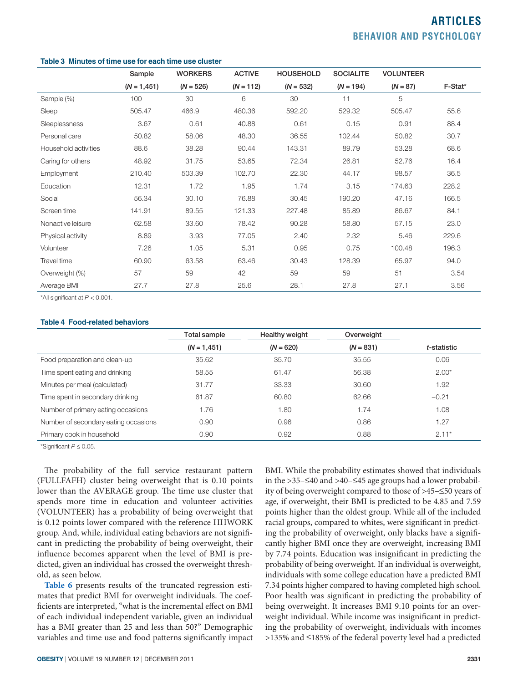#### <span id="page-5-0"></span>**Table 3 Minutes of time use for each time use cluster**

|                      | Sample         | <b>WORKERS</b> | <b>ACTIVE</b> | <b>HOUSEHOLD</b> | <b>SOCIALITE</b> | <b>VOLUNTEER</b> |         |
|----------------------|----------------|----------------|---------------|------------------|------------------|------------------|---------|
|                      | $(N = 1, 451)$ | $(N = 526)$    | $(N = 112)$   | $(N = 532)$      | $(N = 194)$      | $(N = 87)$       | F-Stat* |
| Sample (%)           | 100            | 30             | 6             | 30               | 11               | 5                |         |
| Sleep                | 505.47         | 466.9          | 480.36        | 592.20           | 529.32           | 505.47           | 55.6    |
| Sleeplessness        | 3.67           | 0.61           | 40.88         | 0.61             | 0.15             | 0.91             | 88.4    |
| Personal care        | 50.82          | 58.06          | 48.30         | 36.55            | 102.44           | 50.82            | 30.7    |
| Household activities | 88.6           | 38.28          | 90.44         | 143.31           | 89.79            | 53.28            | 68.6    |
| Caring for others    | 48.92          | 31.75          | 53.65         | 72.34            | 26.81            | 52.76            | 16.4    |
| Employment           | 210.40         | 503.39         | 102.70        | 22.30            | 44.17            | 98.57            | 36.5    |
| Education            | 12.31          | 1.72           | 1.95          | 1.74             | 3.15             | 174.63           | 228.2   |
| Social               | 56.34          | 30.10          | 76.88         | 30.45            | 190.20           | 47.16            | 166.5   |
| Screen time          | 141.91         | 89.55          | 121.33        | 227.48           | 85.89            | 86.67            | 84.1    |
| Nonactive leisure    | 62.58          | 33.60          | 78.42         | 90.28            | 58.80            | 57.15            | 23.0    |
| Physical activity    | 8.89           | 3.93           | 77.05         | 2.40             | 2.32             | 5.46             | 229.6   |
| Volunteer            | 7.26           | 1.05           | 5.31          | 0.95             | 0.75             | 100.48           | 196.3   |
| Travel time          | 60.90          | 63.58          | 63.46         | 30.43            | 128.39           | 65.97            | 94.0    |
| Overweight (%)       | 57             | 59             | 42            | 59               | 59               | 51               | 3.54    |
| Average BMI          | 27.7           | 27.8           | 25.6          | 28.1             | 27.8             | 27.1             | 3.56    |

\*All significant at *P* < 0.001.

#### <span id="page-5-1"></span>**Table 4 Food-related behaviors**

|                                      | Total sample   | Healthy weight | Overweight  |             |
|--------------------------------------|----------------|----------------|-------------|-------------|
|                                      | $(N = 1, 451)$ | $(N = 620)$    | $(N = 831)$ | t-statistic |
| Food preparation and clean-up        | 35.62          | 35.70          | 35.55       | 0.06        |
| Time spent eating and drinking       | 58.55          | 61.47          | 56.38       | $2.00*$     |
| Minutes per meal (calculated)        | 31.77          | 33.33          | 30.60       | 1.92        |
| Time spent in secondary drinking     | 61.87          | 60.80          | 62.66       | $-0.21$     |
| Number of primary eating occasions   | 1.76           | 1.80           | 1.74        | 1.08        |
| Number of secondary eating occasions | 0.90           | 0.96           | 0.86        | 1.27        |
| Primary cook in household            | 0.90           | 0.92           | 0.88        | $2.11*$     |

\*Significant *P* ≤ 0.05.

The probability of the full service restaurant pattern (FULLFAFH) cluster being overweight that is 0.10 points lower than the AVERAGE group. The time use cluster that spends more time in education and volunteer activities (VOLUNTEER) has a probability of being overweight that is 0.12 points lower compared with the reference HHWORK group. And, while, individual eating behaviors are not significant in predicting the probability of being overweight, their influence becomes apparent when the level of BMI is predicted, given an individual has crossed the overweight threshold, as seen below.

**[Table](#page-6-1) 6** presents results of the truncated regression estimates that predict BMI for overweight individuals. The coefficients are interpreted, "what is the incremental effect on BMI of each individual independent variable, given an individual has a BMI greater than 25 and less than 50?" Demographic variables and time use and food patterns significantly impact

BMI. While the probability estimates showed that individuals in the >35–≤40 and >40–≤45 age groups had a lower probability of being overweight compared to those of >45–≤50 years of age, if overweight, their BMI is predicted to be 4.85 and 7.59 points higher than the oldest group. While all of the included racial groups, compared to whites, were significant in predicting the probability of overweight, only blacks have a significantly higher BMI once they are overweight, increasing BMI by 7.74 points. Education was insignificant in predicting the probability of being overweight. If an individual is overweight, individuals with some college education have a predicted BMI 7.34 points higher compared to having completed high school. Poor health was significant in predicting the probability of being overweight. It increases BMI 9.10 points for an overweight individual. While income was insignificant in predicting the probability of overweight, individuals with incomes >135% and ≤185% of the federal poverty level had a predicted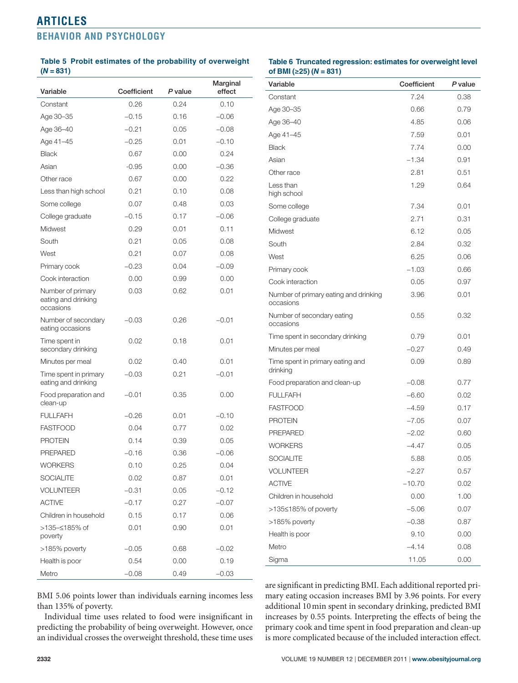# **articles**

### **Behavior and Psychology**

#### <span id="page-6-0"></span>**Table 5 Probit estimates of the probability of overweight (***N* **= 831)**

| Variable                                              | Coefficient | P value | Marginal<br>effect |
|-------------------------------------------------------|-------------|---------|--------------------|
| Constant                                              | 0.26        | 0.24    | 0.10               |
| Age 30-35                                             | $-0.15$     | 0.16    | $-0.06$            |
| Age 36–40                                             | $-0.21$     | 0.05    | $-0.08$            |
| Age 41-45                                             | $-0.25$     | 0.01    | $-0.10$            |
| <b>Black</b>                                          | 0.67        | 0.00    | 0.24               |
| Asian                                                 | $-0.95$     | 0.00    | $-0.36$            |
| Other race                                            | 0.67        | 0.00    | 0.22               |
| Less than high school                                 | 0.21        | 0.10    | 0.08               |
| Some college                                          | 0.07        | 0.48    | 0.03               |
| College graduate                                      | $-0.15$     | 0.17    | $-0.06$            |
| Midwest                                               | 0.29        | 0.01    | 0.11               |
| South                                                 | 0.21        | 0.05    | 0.08               |
| West                                                  | 0.21        | 0.07    | 0.08               |
| Primary cook                                          | $-0.23$     | 0.04    | $-0.09$            |
| Cook interaction                                      | 0.00        | 0.99    | 0.00               |
| Number of primary<br>eating and drinking<br>occasions | 0.03        | 0.62    | 0.01               |
| Number of secondary<br>eating occasions               | $-0.03$     | 0.26    | $-0.01$            |
| Time spent in<br>secondary drinking                   | 0.02        | 0.18    | 0.01               |
| Minutes per meal                                      | 0.02        | 0.40    | 0.01               |
| Time spent in primary<br>eating and drinking          | $-0.03$     | 0.21    | $-0.01$            |
| Food preparation and<br>clean-up                      | $-0.01$     | 0.35    | 0.00               |
| <b>FULLFAFH</b>                                       | $-0.26$     | 0.01    | $-0.10$            |
| <b>FASTFOOD</b>                                       | 0.04        | 0.77    | 0.02               |
| <b>PROTEIN</b>                                        | 0.14        | 0.39    | 0.05               |
| <b>PREPARED</b>                                       | $-0.16$     | 0.36    | $-0.06$            |
| <b>WORKERS</b>                                        | 0.10        | 0.25    | 0.04               |
| <b>SOCIALITE</b>                                      | 0.02        | 0.87    | 0.01               |
| <b>VOLUNTEER</b>                                      | $-0.31$     | 0.05    | $-0.12$            |
| <b>ACTIVE</b>                                         | $-0.17$     | 0.27    | $-0.07$            |
| Children in household                                 | 0.15        | 0.17    | 0.06               |
| >135–≤185% of<br>poverty                              | 0.01        | 0.90    | 0.01               |
| >185% poverty                                         | $-0.05$     | 0.68    | $-0.02$            |
| Health is poor                                        | 0.54        | 0.00    | 0.19               |
| Metro                                                 | $-0.08$     | 0.49    | $-0.03$            |

<span id="page-6-1"></span>

| Table 6 Truncated regression: estimates for overweight level |
|--------------------------------------------------------------|
| of BMI (≥25) (N = 831)                                       |
|                                                              |

| Variable                                           | Coefficient | P value |
|----------------------------------------------------|-------------|---------|
| Constant                                           | 7.24        | 0.38    |
| Age 30-35                                          | 0.66        | 0.79    |
| Age 36-40                                          | 4.85        | 0.06    |
| Age 41-45                                          | 7.59        | 0.01    |
| <b>Black</b>                                       | 7.74        | 0.00    |
| Asian                                              | $-1.34$     | 0.91    |
| Other race                                         | 2.81        | 0.51    |
| Less than<br>high school                           | 1.29        | 0.64    |
| Some college                                       | 7.34        | 0.01    |
| College graduate                                   | 2.71        | 0.31    |
| Midwest                                            | 6.12        | 0.05    |
| South                                              | 2.84        | 0.32    |
| West                                               | 6.25        | 0.06    |
| Primary cook                                       | $-1.03$     | 0.66    |
| Cook interaction                                   | 0.05        | 0.97    |
| Number of primary eating and drinking<br>occasions | 3.96        | 0.01    |
| Number of secondary eating<br>occasions            | 0.55        | 0.32    |
| Time spent in secondary drinking                   | 0.79        | 0.01    |
| Minutes per meal                                   | $-0.27$     | 0.49    |
| Time spent in primary eating and<br>drinking       | 0.09        | 0.89    |
| Food preparation and clean-up                      | $-0.08$     | 0.77    |
| <b>FULLFAFH</b>                                    | $-6.60$     | 0.02    |
| <b>FASTFOOD</b>                                    | $-4.59$     | 0.17    |
| <b>PROTEIN</b>                                     | $-7.05$     | 0.07    |
| <b>PREPARED</b>                                    | $-2.02$     | 0.60    |
| <b>WORKERS</b>                                     | -4.47       | 0.05    |
| <b>SOCIALITE</b>                                   | 5.88        | 0.05    |
| <b>VOLUNTEER</b>                                   | $-2.27$     | 0.57    |
| <b>ACTIVE</b>                                      | $-10.70$    | 0.02    |
| Children in household                              | 0.00        | 1.00    |
| >135≤185% of poverty                               | $-5.06$     | 0.07    |
| >185% poverty                                      | $-0.38$     | 0.87    |
| Health is poor                                     | 9.10        | 0.00    |
| Metro                                              | $-4.14$     | 0.08    |
| Sigma                                              | 11.05       | 0.00    |

BMI 5.06 points lower than individuals earning incomes less than 135% of poverty.

Individual time uses related to food were insignificant in predicting the probability of being overweight. However, once an individual crosses the overweight threshold, these time uses are significant in predicting BMI. Each additional reported primary eating occasion increases BMI by 3.96 points. For every additional 10min spent in secondary drinking, predicted BMI increases by 0.55 points. Interpreting the effects of being the primary cook and time spent in food preparation and clean-up is more complicated because of the included interaction effect.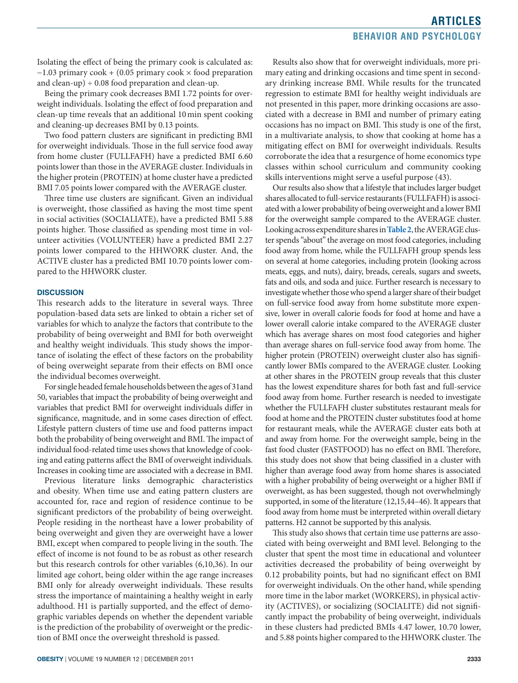Isolating the effect of being the primary cook is calculated as: −1.03 primary cook + (0.05 primary cook × food preparation and clean-up)  $\div$  0.08 food preparation and clean-up.

Being the primary cook decreases BMI 1.72 points for overweight individuals. Isolating the effect of food preparation and clean-up time reveals that an additional 10min spent cooking and cleaning-up decreases BMI by 0.13 points.

Two food pattern clusters are significant in predicting BMI for overweight individuals. Those in the full service food away from home cluster (FULLFAFH) have a predicted BMI 6.60 points lower than those in the AVERAGE cluster. Individuals in the higher protein (PROTEIN) at home cluster have a predicted BMI 7.05 points lower compared with the AVERAGE cluster.

Three time use clusters are significant. Given an individual is overweight, those classified as having the most time spent in social activities (SOCIALIATE), have a predicted BMI 5.88 points higher. Those classified as spending most time in volunteer activities (VOLUNTEER) have a predicted BMI 2.27 points lower compared to the HHWORK cluster. And, the ACTIVE cluster has a predicted BMI 10.70 points lower compared to the HHWORK cluster.

#### **Discussion**

This research adds to the literature in several ways. Three population-based data sets are linked to obtain a richer set of variables for which to analyze the factors that contribute to the probability of being overweight and BMI for both overweight and healthy weight individuals. This study shows the importance of isolating the effect of these factors on the probability of being overweight separate from their effects on BMI once the individual becomes overweight.

For single headed female households between the ages of 31and 50, variables that impact the probability of being overweight and variables that predict BMI for overweight individuals differ in significance, magnitude, and in some cases direction of effect. Lifestyle pattern clusters of time use and food patterns impact both the probability of being overweight and BMI. The impact of individual food-related time uses shows that knowledge of cooking and eating patterns affect the BMI of overweight individuals. Increases in cooking time are associated with a decrease in BMI.

Previous literature links demographic characteristics and obesity. When time use and eating pattern clusters are accounted for, race and region of residence continue to be significant predictors of the probability of being overweight. People residing in the northeast have a lower probability of being overweight and given they are overweight have a lower BMI, except when compared to people living in the south. The effect of income is not found to be as robust as other research but this research controls for other variables (6,10,36). In our limited age cohort, being older within the age range increases BMI only for already overweight individuals. These results stress the importance of maintaining a healthy weight in early adulthood. H1 is partially supported, and the effect of demographic variables depends on whether the dependent variable is the prediction of the probability of overweight or the prediction of BMI once the overweight threshold is passed.

Results also show that for overweight individuals, more primary eating and drinking occasions and time spent in secondary drinking increase BMI. While results for the truncated regression to estimate BMI for healthy weight individuals are not presented in this paper, more drinking occasions are associated with a decrease in BMI and number of primary eating occasions has no impact on BMI. This study is one of the first, in a multivariate analysis, to show that cooking at home has a mitigating effect on BMI for overweight individuals. Results corroborate the idea that a resurgence of home economics type classes within school curriculum and community cooking skills interventions might serve a useful purpose (43).

Our results also show that a lifestyle that includes larger budget shares allocated to full-service restaurants (FULLFAFH) is associated with a lower probability of being overweight and a lower BMI for the overweight sample compared to the AVERAGE cluster. Looking across expenditure shares in **[Table2](#page-4-0)**, the AVERAGE cluster spends "about" the average on most food categories, including food away from home, while the FULLFAFH group spends less on several at home categories, including protein (looking across meats, eggs, and nuts), dairy, breads, cereals, sugars and sweets, fats and oils, and soda and juice. Further research is necessary to investigate whether those who spend a larger share of their budget on full-service food away from home substitute more expensive, lower in overall calorie foods for food at home and have a lower overall calorie intake compared to the AVERAGE cluster which has average shares on most food categories and higher than average shares on full-service food away from home. The higher protein (PROTEIN) overweight cluster also has significantly lower BMIs compared to the AVERAGE cluster. Looking at other shares in the PROTEIN group reveals that this cluster has the lowest expenditure shares for both fast and full-service food away from home. Further research is needed to investigate whether the FULLFAFH cluster substitutes restaurant meals for food at home and the PROTEIN cluster substitutes food at home for restaurant meals, while the AVERAGE cluster eats both at and away from home. For the overweight sample, being in the fast food cluster (FASTFOOD) has no effect on BMI. Therefore, this study does not show that being classified in a cluster with higher than average food away from home shares is associated with a higher probability of being overweight or a higher BMI if overweight, as has been suggested, though not overwhelmingly supported, in some of the literature (12,15,44–46). It appears that food away from home must be interpreted within overall dietary patterns. H2 cannot be supported by this analysis.

This study also shows that certain time use patterns are associated with being overweight and BMI level. Belonging to the cluster that spent the most time in educational and volunteer activities decreased the probability of being overweight by 0.12 probability points, but had no significant effect on BMI for overweight individuals. On the other hand, while spending more time in the labor market (WORKERS), in physical activity (ACTIVES), or socializing (SOCIALITE) did not significantly impact the probability of being overweight, individuals in these clusters had predicted BMIs 4.47 lower, 10.70 lower, and 5.88 points higher compared to the HHWORK cluster. The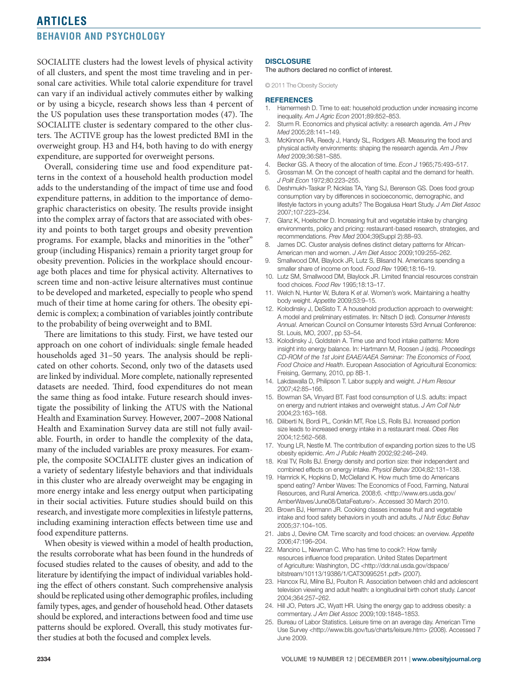SOCIALITE clusters had the lowest levels of physical activity of all clusters, and spent the most time traveling and in personal care activities. While total calorie expenditure for travel can vary if an individual actively commutes either by walking or by using a bicycle, research shows less than 4 percent of the US population uses these transportation modes (47). The SOCIALITE cluster is sedentary compared to the other clusters. The ACTIVE group has the lowest predicted BMI in the overweight group. H3 and H4, both having to do with energy expenditure, are supported for overweight persons.

Overall, considering time use and food expenditure patterns in the context of a household health production model adds to the understanding of the impact of time use and food expenditure patterns, in addition to the importance of demographic characteristics on obesity. The results provide insight into the complex array of factors that are associated with obesity and points to both target groups and obesity prevention programs. For example, blacks and minorities in the "other" group (including Hispanics) remain a priority target group for obesity prevention. Policies in the workplace should encourage both places and time for physical activity. Alternatives to screen time and non-active leisure alternatives must continue to be developed and marketed, especially to people who spend much of their time at home caring for others. The obesity epidemic is complex; a combination of variables jointly contribute to the probability of being overweight and to BMI.

There are limitations to this study. First, we have tested our approach on one cohort of individuals: single female headed households aged 31–50 years. The analysis should be replicated on other cohorts. Second, only two of the datasets used are linked by individual. More complete, nationally represented datasets are needed. Third, food expenditures do not mean the same thing as food intake. Future research should investigate the possibility of linking the ATUS with the National Health and Examination Survey. However, 2007–2008 National Health and Examination Survey data are still not fully available. Fourth, in order to handle the complexity of the data, many of the included variables are proxy measures. For example, the composite SOCIALITE cluster gives an indication of a variety of sedentary lifestyle behaviors and that individuals in this cluster who are already overweight may be engaging in more energy intake and less energy output when participating in their social activities. Future studies should build on this research, and investigate more complexities in lifestyle patterns, including examining interaction effects between time use and food expenditure patterns.

When obesity is viewed within a model of health production, the results corroborate what has been found in the hundreds of focused studies related to the causes of obesity, and add to the literature by identifying the impact of individual variables holding the effect of others constant. Such comprehensive analysis should be replicated using other demographic profiles, including family types, ages, and gender of household head. Other datasets should be explored, and interactions between food and time use patterns should be explored. Overall, this study motivates further studies at both the focused and complex levels.

#### **Disclosure**

The authors declared no conflict of interest.

© 2011 The Obesity Society

#### **REFERENCES**

- 1. Hamermesh D. Time to eat: household production under increasing income inequality. *Am J Agric Econ* 2001;89:852–853.
- 2. Sturm R. Economics and physical activity: a research agenda. *Am J Prev Med* 2005;28:141–149.
- 3. McKinnon RA, Reedy J, Handy SL, Rodgers AB. Measuring the food and physical activity environments: shaping the research agenda. *Am J Prev Med* 2009;36:S81–S85.
- 4. Becker GS. A theory of the allocation of time. *Econ J* 1965;75:493–517.
- 5. Grossman M. On the concept of health capital and the demand for health. *J Polit Econ* 1972;80:223–255.
- 6. Deshmukh-Taskar P, Nicklas TA, Yang SJ, Berenson GS. Does food group consumption vary by differences in socioeconomic, demographic, and lifestyle factors in young adults? The Bogalusa Heart Study. *J Am Diet Assoc* 2007;107:223–234.
- 7. Glanz K, Hoelscher D. Increasing fruit and vegetable intake by changing environments, policy and pricing: restaurant-based research, strategies, and recommendations. *Prev Med* 2004;39(Suppl 2):88–93.
- 8. James DC. Cluster analysis defines distinct dietary patterns for African-American men and women. *J Am Diet Assoc* 2009;109:255–262.
- 9. Smallwood DM, Blaylock JR, Lutz S, Blisand N. Americans spending a smaller share of income on food. *Food Rev* 1996;18:16–19.
- 10. Lutz SM, Smallwood DM, Blaylock JR. Limited financial resources constrain food choices. *Food Rev* 1995;18:13–17.
- 11. Welch N, Hunter W, Butera K *et al*. Women's work. Maintaining a healthy body weight. *Appetite* 2009;53:9–15.
- 12. Kolodinsky J, DeSisto T. A household production approach to overweight: A model and preliminary estimates. In: Nitsch D (ed). *Consumer Interests Annual*. American Council on Consumer Interests 53rd Annual Conference: St. Louis, MO, 2007, pp 53–54.
- 13. Kolodinsky J, Goldstein A. Time use and food intake patterns: More insight into energy balance. In: Hartmann M, Roosen J (eds). *Proceedings CD-ROM of the 1st Joint EAAE/AAEA Seminar: The Economics of Food, Food Choice and Health*. European Association of Agricultural Economics: Freising, Germany, 2010, pp 8B-1.
- 14. Lakdawalla D, Philipson T. Labor supply and weight. *J Hum Resour* 2007;42:85–166.
- 15. Bowman SA, Vinyard BT. Fast food consumption of U.S. adults: impact on energy and nutrient intakes and overweight status. *J Am Coll Nutr* 2004;23:163–168.
- 16. Diliberti N, Bordi PL, Conklin MT, Roe LS, Rolls BJ. Increased portion size leads to increased energy intake in a restaurant meal. *Obes Res* 2004;12:562–568.
- 17. Young LR, Nestle M. The contribution of expanding portion sizes to the US obesity epidemic. *Am J Public Health* 2002;92:246–249.
- 18. Kral TV, Rolls BJ. Energy density and portion size: their independent and combined effects on energy intake. *Physiol Behav* 2004;82:131–138.
- 19. Hamrick K, Hopkins D, McClelland K. How much time do Americans spend eating? Amber Waves: The Economics of Food, Farming, Natural Resources, and Rural America. 2008;6. <[http://www.ers.usda.gov/](http://www.ers.usda.gov/AmberWaves/June08/DataFeature/) [AmberWaves/June08/DataFeature/>](http://www.ers.usda.gov/AmberWaves/June08/DataFeature/). Accessed 30 March 2010.
- 20. Brown BJ, Hermann JR. Cooking classes increase fruit and vegetable intake and food safety behaviors in youth and adults. *J Nutr Educ Behav* 2005;37:104–105.
- 21. Jabs J, Devine CM. Time scarcity and food choices: an overview. *Appetite* 2006;47:196–204.
- 22. Mancino L, Newman C. Who has time to cook?: How family resources influence food preparation. United States Department of Agriculture: Washington, DC [<http://ddr.nal.usda.gov/dspace/](http://ddr.nal.usda.gov/dspace/bitstream/10113/19386/1/CAT30995251.pdf) [bitstream/10113/19386/1/CAT30995251.pdf](http://ddr.nal.usda.gov/dspace/bitstream/10113/19386/1/CAT30995251.pdf)> (2007).
- 23. Hancox RJ, Milne BJ, Poulton R. Association between child and adolescent television viewing and adult health: a longitudinal birth cohort study. *Lancet* 2004;364:257–262.
- 24. Hill JO, Peters JC, Wyatt HR. Using the energy gap to address obesity: a commentary. *J Am Diet Assoc* 2009;109:1848–1853.
- 25. Bureau of Labor Statistics. Leisure time on an average day. American Time Use Survey [<http://www.bls.gov/tus/charts/leisure.htm>](http://www.bls.gov/tus/charts/leisure.htm) (2008). Accessed 7 June 2009.